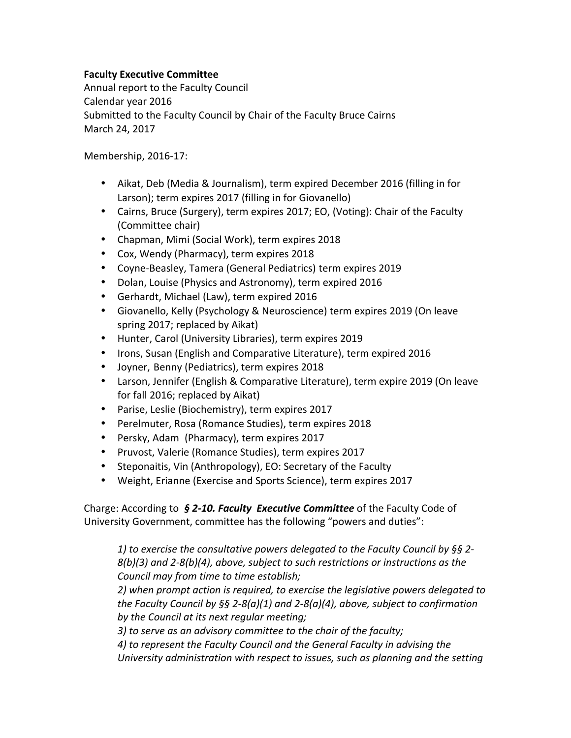## **Faculty Executive Committee**

Annual report to the Faculty Council Calendar year 2016 Submitted to the Faculty Council by Chair of the Faculty Bruce Cairns March 24, 2017

Membership, 2016-17:

- Aikat, Deb (Media & Journalism), term expired December 2016 (filling in for Larson); term expires 2017 (filling in for Giovanello)
- Cairns, Bruce (Surgery), term expires 2017; EO, (Voting): Chair of the Faculty (Committee chair)
- Chapman, Mimi (Social Work), term expires 2018
- Cox, Wendy (Pharmacy), term expires 2018
- Coyne-Beasley, Tamera (General Pediatrics) term expires 2019
- Dolan, Louise (Physics and Astronomy), term expired 2016
- Gerhardt, Michael (Law), term expired 2016
- Giovanello, Kelly (Psychology & Neuroscience) term expires 2019 (On leave spring 2017; replaced by Aikat)
- Hunter, Carol (University Libraries), term expires 2019
- Irons, Susan (English and Comparative Literature), term expired 2016
- Joyner, Benny (Pediatrics), term expires 2018
- Larson, Jennifer (English & Comparative Literature), term expire 2019 (On leave for fall 2016; replaced by Aikat)
- Parise, Leslie (Biochemistry), term expires 2017
- Perelmuter, Rosa (Romance Studies), term expires 2018
- Persky, Adam (Pharmacy), term expires 2017
- Pruvost, Valerie (Romance Studies), term expires 2017
- Steponaitis, Vin (Anthropology), EO: Secretary of the Faculty
- Weight, Erianne (Exercise and Sports Science), term expires 2017

Charge: According to **§ 2-10. Faculty Executive Committee** of the Faculty Code of University Government, committee has the following "powers and duties":

1) to exercise the consultative powers delegated to the Faculty Council by §§ 2-*8(b)(3)* and 2-8(b)(4), above, subject to such restrictions or instructions as the *Council may from time to time establish;*

2) when prompt action is required, to exercise the legislative powers delegated to *the Faculty Council by*  $\S$ § 2-8(a)(1) and 2-8(a)(4), above, subject to confirmation by the Council at its next regular meeting;

3) to serve as an advisory committee to the chair of the faculty;

4) to represent the Faculty Council and the General Faculty in advising the University administration with respect to issues, such as planning and the setting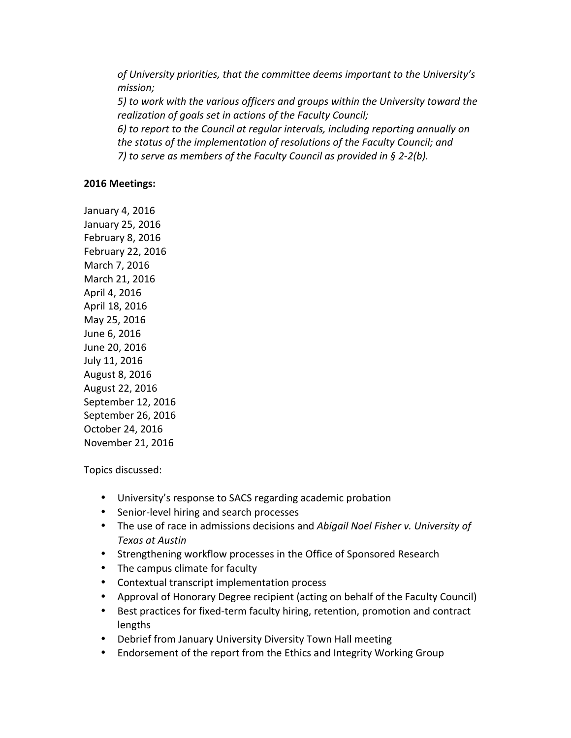of University priorities, that the committee deems important to the University's *mission; 5)* to work with the various officers and groups within the University toward the *realization of goals set in actions of the Faculty Council;* 6) to report to the Council at regular intervals, including reporting annually on *the status of the implementation of resolutions of the Faculty Council; and 7*) to serve as members of the Faculty Council as provided in § 2-2(b).

## **2016 Meetings:**

January 4, 2016 January 25, 2016 February 8, 2016 February 22, 2016 March 7, 2016 March 21, 2016 April 4, 2016 April 18, 2016 May 25, 2016 June 6, 2016 June 20, 2016 July 11, 2016 August 8, 2016 August 22, 2016 September 12, 2016 September 26, 2016 October 24, 2016 November 21, 2016

Topics discussed:

- University's response to SACS regarding academic probation
- Senior-level hiring and search processes
- The use of race in admissions decisions and *Abigail Noel Fisher v. University of Texas at Austin*
- Strengthening workflow processes in the Office of Sponsored Research
- The campus climate for faculty
- Contextual transcript implementation process
- Approval of Honorary Degree recipient (acting on behalf of the Faculty Council)
- Best practices for fixed-term faculty hiring, retention, promotion and contract lengths
- Debrief from January University Diversity Town Hall meeting
- Endorsement of the report from the Ethics and Integrity Working Group